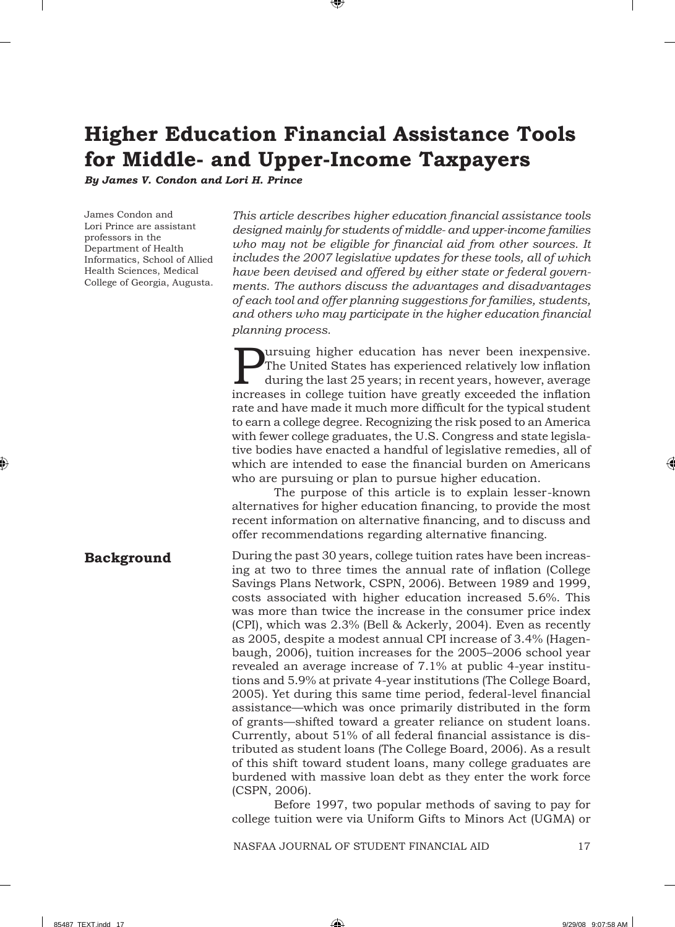# **Higher Education Financial Assistance Tools for Middle- and Upper-Income Taxpayers**

*By James V. Condon and Lori H. Prince*

James Condon and Lori Prince are assistant professors in the Department of Health Informatics, School of Allied Health Sciences, Medical College of Georgia, Augusta. *This article describes higher education fi nancial assistance tools designed mainly for students of middle- and upper-income families*  who may not be eligible for financial aid from other sources. It *includes the 2007 legislative updates for these tools, all of which have been devised and offered by either state or federal governments. The authors discuss the advantages and disadvantages of each tool and offer planning suggestions for families, students,*  and others who may participate in the higher education financial *planning process.*

**Pursuing higher education has never been inexpensive.**<br>The United States has experienced relatively low inflation<br>during the last 25 years; in recent years, however, average<br>increases in collage tuition have greatly excee The United States has experienced relatively low inflation during the last 25 years; in recent years, however, average increases in college tuition have greatly exceeded the inflation rate and have made it much more difficult for the typical student to earn a college degree. Recognizing the risk posed to an America with fewer college graduates, the U.S. Congress and state legislative bodies have enacted a handful of legislative remedies, all of which are intended to ease the financial burden on Americans who are pursuing or plan to pursue higher education.

The purpose of this article is to explain lesser-known alternatives for higher education financing, to provide the most recent information on alternative financing, and to discuss and offer recommendations regarding alternative financing.

**Background**

During the past 30 years, college tuition rates have been increasing at two to three times the annual rate of inflation (College) Savings Plans Network, CSPN, 2006). Between 1989 and 1999, costs associated with higher education increased 5.6%. This was more than twice the increase in the consumer price index (CPI), which was 2.3% (Bell & Ackerly, 2004). Even as recently as 2005, despite a modest annual CPI increase of 3.4% (Hagenbaugh, 2006), tuition increases for the 2005–2006 school year revealed an average increase of 7.1% at public 4-year institutions and 5.9% at private 4-year institutions (The College Board, 2005). Yet during this same time period, federal-level financial assistance—which was once primarily distributed in the form of grants—shifted toward a greater reliance on student loans. Currently, about 51% of all federal financial assistance is distributed as student loans (The College Board, 2006). As a result of this shift toward student loans, many college graduates are burdened with massive loan debt as they enter the work force (CSPN, 2006).

Before 1997, two popular methods of saving to pay for college tuition were via Uniform Gifts to Minors Act (UGMA) or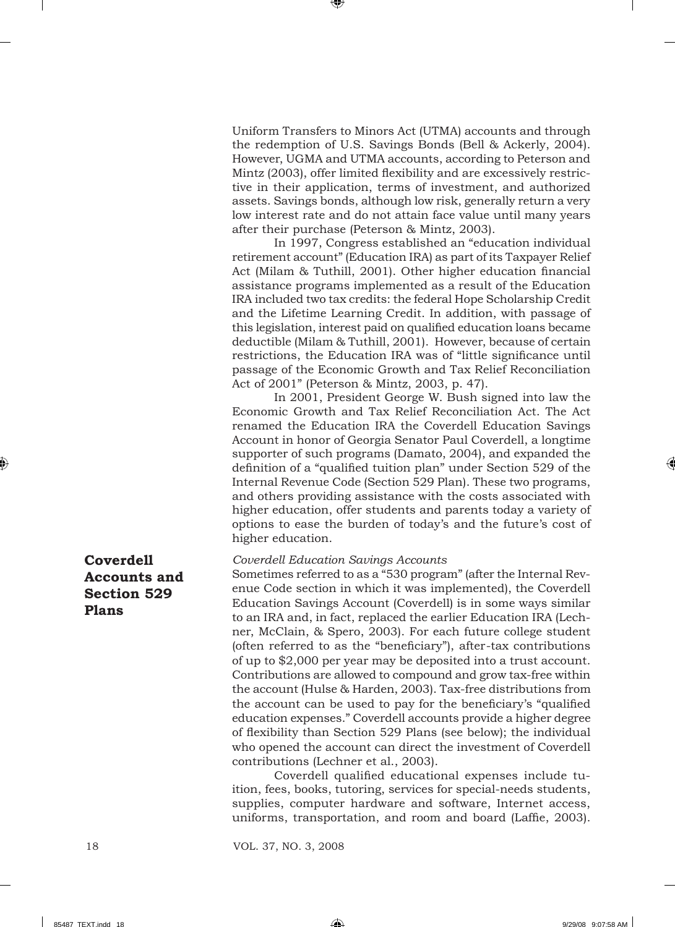Uniform Transfers to Minors Act (UTMA) accounts and through the redemption of U.S. Savings Bonds (Bell & Ackerly, 2004). However, UGMA and UTMA accounts, according to Peterson and Mintz (2003), offer limited flexibility and are excessively restrictive in their application, terms of investment, and authorized assets. Savings bonds, although low risk, generally return a very low interest rate and do not attain face value until many years after their purchase (Peterson & Mintz, 2003).

In 1997, Congress established an "education individual retirement account" (Education IRA) as part of its Taxpayer Relief Act (Milam & Tuthill, 2001). Other higher education financial assistance programs implemented as a result of the Education IRA included two tax credits: the federal Hope Scholarship Credit and the Lifetime Learning Credit. In addition, with passage of this legislation, interest paid on qualified education loans became deductible (Milam & Tuthill, 2001). However, because of certain restrictions, the Education IRA was of "little significance until passage of the Economic Growth and Tax Relief Reconciliation Act of 2001" (Peterson & Mintz, 2003, p. 47).

In 2001, President George W. Bush signed into law the Economic Growth and Tax Relief Reconciliation Act. The Act renamed the Education IRA the Coverdell Education Savings Account in honor of Georgia Senator Paul Coverdell, a longtime supporter of such programs (Damato, 2004), and expanded the definition of a "qualified tuition plan" under Section 529 of the Internal Revenue Code (Section 529 Plan). These two programs, and others providing assistance with the costs associated with higher education, offer students and parents today a variety of options to ease the burden of today's and the future's cost of higher education.

# **Coverdell Accounts and Section 529 Plans**

#### *Coverdell Education Savings Accounts*

Sometimes referred to as a "530 program" (after the Internal Revenue Code section in which it was implemented), the Coverdell Education Savings Account (Coverdell) is in some ways similar to an IRA and, in fact, replaced the earlier Education IRA (Lechner, McClain, & Spero, 2003). For each future college student (often referred to as the "beneficiary"), after-tax contributions of up to \$2,000 per year may be deposited into a trust account. Contributions are allowed to compound and grow tax-free within the account (Hulse & Harden, 2003). Tax-free distributions from the account can be used to pay for the beneficiary's "qualified" education expenses." Coverdell accounts provide a higher degree of flexibility than Section 529 Plans (see below); the individual who opened the account can direct the investment of Coverdell contributions (Lechner et al., 2003).

Coverdell qualified educational expenses include tuition, fees, books, tutoring, services for special-needs students, supplies, computer hardware and software, Internet access, uniforms, transportation, and room and board (Laffie, 2003).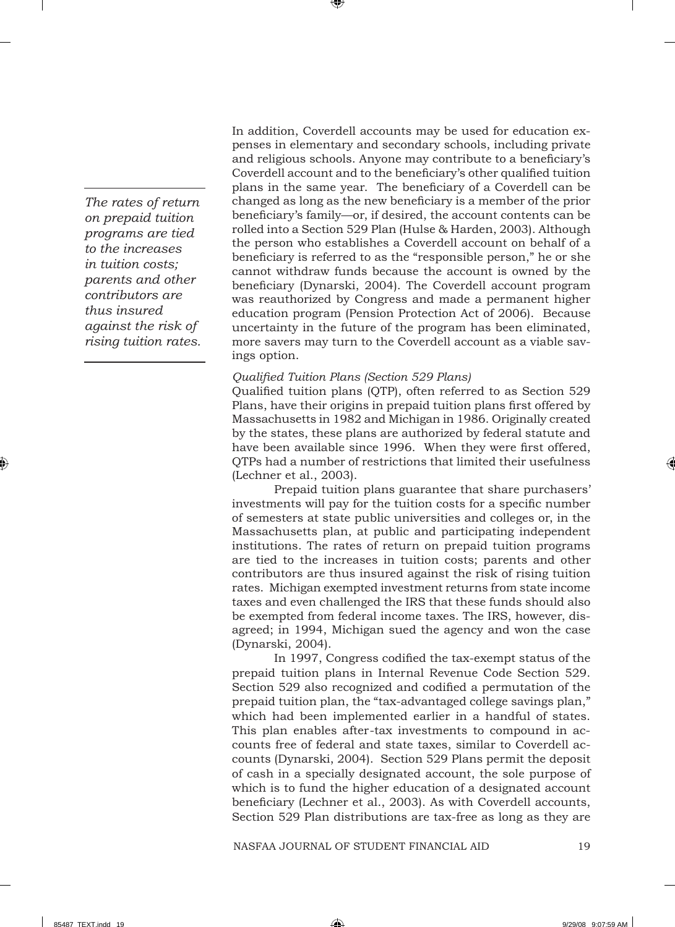*The rates of return on prepaid tuition programs are tied to the increases in tuition costs; parents and other contributors are thus insured against the risk of rising tuition rates.*  In addition, Coverdell accounts may be used for education expenses in elementary and secondary schools, including private and religious schools. Anyone may contribute to a beneficiary's Coverdell account and to the beneficiary's other qualified tuition plans in the same year. The beneficiary of a Coverdell can be changed as long as the new beneficiary is a member of the prior beneficiary's family—or, if desired, the account contents can be rolled into a Section 529 Plan (Hulse & Harden, 2003). Although the person who establishes a Coverdell account on behalf of a beneficiary is referred to as the "responsible person," he or she cannot withdraw funds because the account is owned by the beneficiary (Dynarski, 2004). The Coverdell account program was reauthorized by Congress and made a permanent higher education program (Pension Protection Act of 2006). Because uncertainty in the future of the program has been eliminated, more savers may turn to the Coverdell account as a viable savings option.

## *Qualifi ed Tuition Plans (Section 529 Plans)*

Qualified tuition plans (QTP), often referred to as Section 529 Plans, have their origins in prepaid tuition plans first offered by Massachusetts in 1982 and Michigan in 1986. Originally created by the states, these plans are authorized by federal statute and have been available since 1996. When they were first offered, QTPs had a number of restrictions that limited their usefulness (Lechner et al., 2003).

Prepaid tuition plans guarantee that share purchasers' investments will pay for the tuition costs for a specific number of semesters at state public universities and colleges or, in the Massachusetts plan, at public and participating independent institutions. The rates of return on prepaid tuition programs are tied to the increases in tuition costs; parents and other contributors are thus insured against the risk of rising tuition rates. Michigan exempted investment returns from state income taxes and even challenged the IRS that these funds should also be exempted from federal income taxes. The IRS, however, disagreed; in 1994, Michigan sued the agency and won the case (Dynarski, 2004).

In 1997, Congress codified the tax-exempt status of the prepaid tuition plans in Internal Revenue Code Section 529. Section 529 also recognized and codified a permutation of the prepaid tuition plan, the "tax-advantaged college savings plan," which had been implemented earlier in a handful of states. This plan enables after-tax investments to compound in accounts free of federal and state taxes, similar to Coverdell accounts (Dynarski, 2004). Section 529 Plans permit the deposit of cash in a specially designated account, the sole purpose of which is to fund the higher education of a designated account beneficiary (Lechner et al., 2003). As with Coverdell accounts, Section 529 Plan distributions are tax-free as long as they are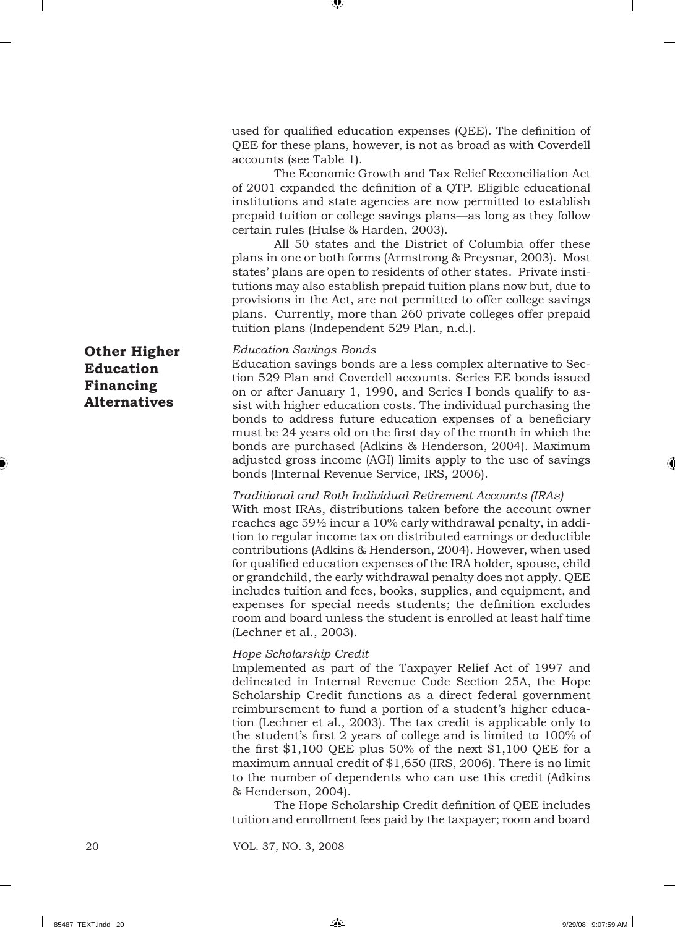used for qualified education expenses (QEE). The definition of QEE for these plans, however, is not as broad as with Coverdell accounts (see Table 1).

The Economic Growth and Tax Relief Reconciliation Act of 2001 expanded the definition of a OTP. Eligible educational institutions and state agencies are now permitted to establish prepaid tuition or college savings plans—as long as they follow certain rules (Hulse & Harden, 2003).

All 50 states and the District of Columbia offer these plans in one or both forms (Armstrong & Preysnar, 2003). Most states' plans are open to residents of other states. Private institutions may also establish prepaid tuition plans now but, due to provisions in the Act, are not permitted to offer college savings plans. Currently, more than 260 private colleges offer prepaid tuition plans (Independent 529 Plan, n.d.).

*Education Savings Bonds*

Education savings bonds are a less complex alternative to Section 529 Plan and Coverdell accounts. Series EE bonds issued on or after January 1, 1990, and Series I bonds qualify to assist with higher education costs. The individual purchasing the bonds to address future education expenses of a beneficiary must be 24 years old on the first day of the month in which the bonds are purchased (Adkins & Henderson, 2004). Maximum adjusted gross income (AGI) limits apply to the use of savings bonds (Internal Revenue Service, IRS, 2006).

#### *Traditional and Roth Individual Retirement Accounts (IRAs)*

With most IRAs, distributions taken before the account owner reaches age 59½ incur a 10% early withdrawal penalty, in addition to regular income tax on distributed earnings or deductible contributions (Adkins & Henderson, 2004). However, when used for qualified education expenses of the IRA holder, spouse, child or grandchild, the early withdrawal penalty does not apply. QEE includes tuition and fees, books, supplies, and equipment, and expenses for special needs students; the definition excludes room and board unless the student is enrolled at least half time (Lechner et al., 2003).

#### *Hope Scholarship Credit*

Implemented as part of the Taxpayer Relief Act of 1997 and delineated in Internal Revenue Code Section 25A, the Hope Scholarship Credit functions as a direct federal government reimbursement to fund a portion of a student's higher education (Lechner et al., 2003). The tax credit is applicable only to the student's first 2 years of college and is limited to 100% of the first  $$1,100$  QEE plus 50% of the next  $$1,100$  QEE for a maximum annual credit of \$1,650 (IRS, 2006). There is no limit to the number of dependents who can use this credit (Adkins & Henderson, 2004).

The Hope Scholarship Credit definition of QEE includes tuition and enrollment fees paid by the taxpayer; room and board

**Other Higher Education Financing Alternatives**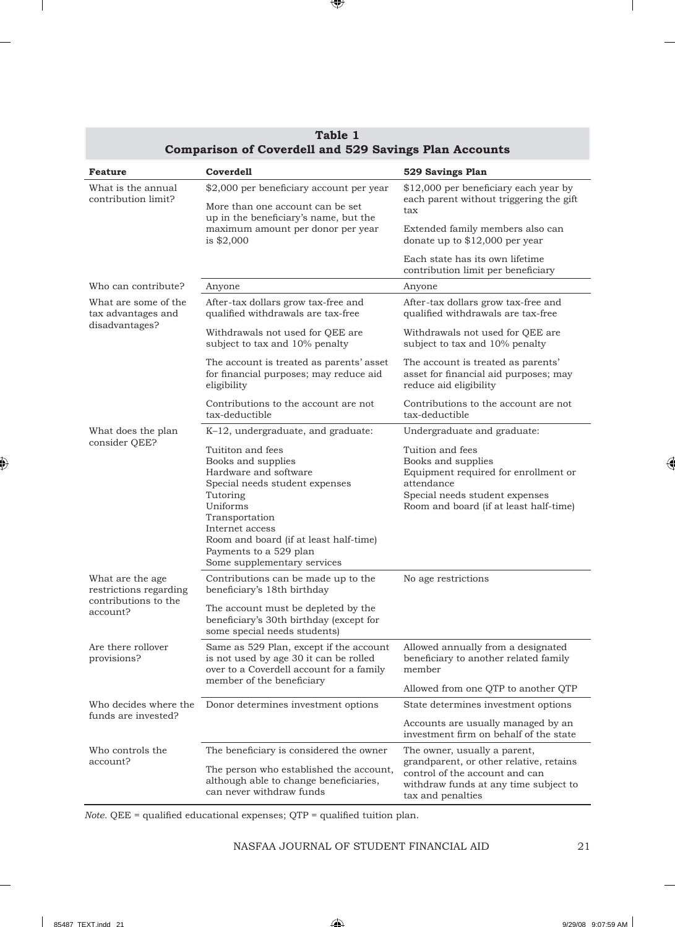| <b>Feature</b>                                                                  | Coverdell                                                                                                                                                                                                                                                          | 529 Savings Plan                                                                                                                                                         |
|---------------------------------------------------------------------------------|--------------------------------------------------------------------------------------------------------------------------------------------------------------------------------------------------------------------------------------------------------------------|--------------------------------------------------------------------------------------------------------------------------------------------------------------------------|
| What is the annual<br>contribution limit?                                       | \$2,000 per beneficiary account per year<br>More than one account can be set<br>up in the beneficiary's name, but the<br>maximum amount per donor per year<br>is $$2,000$                                                                                          | \$12,000 per beneficiary each year by<br>each parent without triggering the gift<br>tax                                                                                  |
|                                                                                 |                                                                                                                                                                                                                                                                    | Extended family members also can<br>donate up to $$12,000$ per year                                                                                                      |
|                                                                                 |                                                                                                                                                                                                                                                                    | Each state has its own lifetime<br>contribution limit per beneficiary                                                                                                    |
| Who can contribute?                                                             | Anyone                                                                                                                                                                                                                                                             | Anyone                                                                                                                                                                   |
| What are some of the<br>tax advantages and<br>disadvantages?                    | After-tax dollars grow tax-free and<br>qualified withdrawals are tax-free                                                                                                                                                                                          | After-tax dollars grow tax-free and<br>qualified withdrawals are tax-free                                                                                                |
|                                                                                 | Withdrawals not used for QEE are<br>subject to tax and 10% penalty                                                                                                                                                                                                 | Withdrawals not used for QEE are<br>subject to tax and 10% penalty                                                                                                       |
|                                                                                 | The account is treated as parents' asset<br>for financial purposes; may reduce aid<br>eligibility                                                                                                                                                                  | The account is treated as parents'<br>asset for financial aid purposes; may<br>reduce aid eligibility                                                                    |
|                                                                                 | Contributions to the account are not<br>tax-deductible                                                                                                                                                                                                             | Contributions to the account are not<br>tax-deductible                                                                                                                   |
| What does the plan                                                              | K-12, undergraduate, and graduate:                                                                                                                                                                                                                                 | Undergraduate and graduate:                                                                                                                                              |
| consider QEE?                                                                   | Tuititon and fees<br>Books and supplies<br>Hardware and software<br>Special needs student expenses<br>Tutoring<br>Uniforms<br>Transportation<br>Internet access<br>Room and board (if at least half-time)<br>Payments to a 529 plan<br>Some supplementary services | Tuition and fees<br>Books and supplies<br>Equipment required for enrollment or<br>attendance<br>Special needs student expenses<br>Room and board (if at least half-time) |
| What are the age.<br>restrictions regarding<br>contributions to the<br>account? | Contributions can be made up to the<br>beneficiary's 18th birthday                                                                                                                                                                                                 | No age restrictions                                                                                                                                                      |
|                                                                                 | The account must be depleted by the<br>beneficiary's 30th birthday (except for<br>some special needs students)                                                                                                                                                     |                                                                                                                                                                          |
| Are there rollover<br>provisions?                                               | Same as 529 Plan, except if the account<br>is not used by age 30 it can be rolled<br>over to a Coverdell account for a family<br>member of the beneficiary                                                                                                         | Allowed annually from a designated<br>beneficiary to another related family<br>member                                                                                    |
|                                                                                 |                                                                                                                                                                                                                                                                    | Allowed from one QTP to another QTP                                                                                                                                      |
| Who decides where the<br>funds are invested?                                    | Donor determines investment options                                                                                                                                                                                                                                | State determines investment options                                                                                                                                      |
|                                                                                 |                                                                                                                                                                                                                                                                    | Accounts are usually managed by an<br>investment firm on behalf of the state                                                                                             |
| Who controls the<br>account?                                                    | The beneficiary is considered the owner                                                                                                                                                                                                                            | The owner, usually a parent,                                                                                                                                             |
|                                                                                 | The person who established the account,<br>although able to change beneficiaries,<br>can never withdraw funds                                                                                                                                                      | grandparent, or other relative, retains<br>control of the account and can<br>withdraw funds at any time subject to<br>tax and penalties                                  |

## **Table 1 Table Comparison of Coverdell and 529 Savings Plan Accounts**

*Note.* QEE = qualified educational expenses; QTP = qualified tuition plan.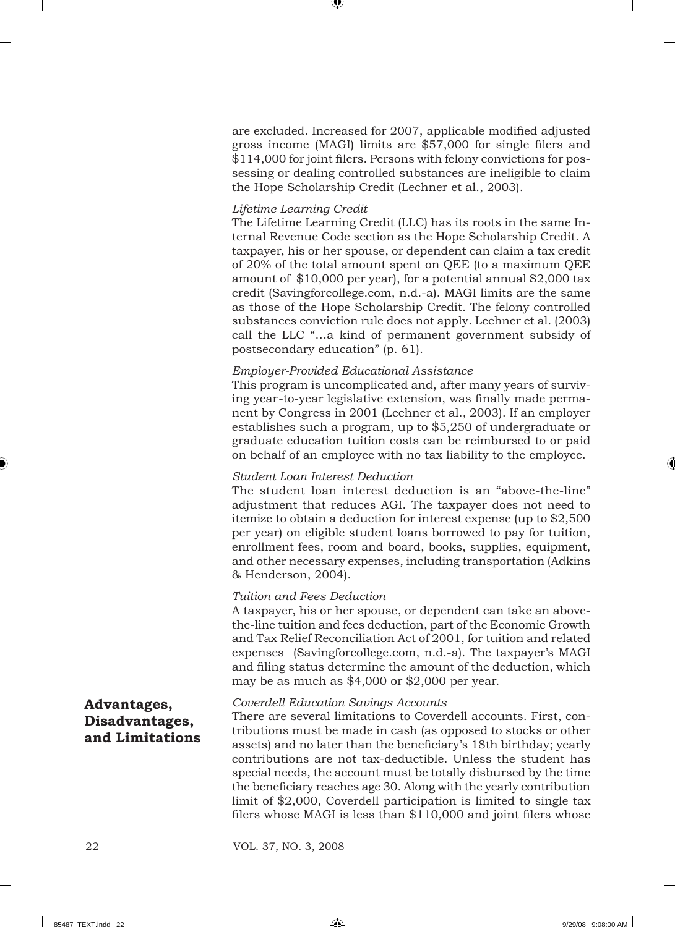are excluded. Increased for 2007, applicable modified adjusted gross income (MAGI) limits are \$57,000 for single filers and \$114,000 for joint filers. Persons with felony convictions for possessing or dealing controlled substances are ineligible to claim the Hope Scholarship Credit (Lechner et al., 2003).

## *Lifetime Learning Credit*

The Lifetime Learning Credit (LLC) has its roots in the same Internal Revenue Code section as the Hope Scholarship Credit. A taxpayer, his or her spouse, or dependent can claim a tax credit of 20% of the total amount spent on QEE (to a maximum QEE amount of \$10,000 per year), for a potential annual \$2,000 tax credit (Savingforcollege.com, n.d.-a). MAGI limits are the same as those of the Hope Scholarship Credit. The felony controlled substances conviction rule does not apply. Lechner et al. (2003) call the LLC "…a kind of permanent government subsidy of postsecondary education" (p. 61).

## *Employer-Provided Educational Assistance*

This program is uncomplicated and, after many years of surviving year-to-year legislative extension, was finally made permanent by Congress in 2001 (Lechner et al., 2003). If an employer establishes such a program, up to \$5,250 of undergraduate or graduate education tuition costs can be reimbursed to or paid on behalf of an employee with no tax liability to the employee.

## *Student Loan Interest Deduction*

The student loan interest deduction is an "above-the-line" adjustment that reduces AGI. The taxpayer does not need to itemize to obtain a deduction for interest expense (up to \$2,500 per year) on eligible student loans borrowed to pay for tuition, enrollment fees, room and board, books, supplies, equipment, and other necessary expenses, including transportation (Adkins & Henderson, 2004).

## *Tuition and Fees Deduction*

A taxpayer, his or her spouse, or dependent can take an abovethe-line tuition and fees deduction, part of the Economic Growth and Tax Relief Reconciliation Act of 2001, for tuition and related expenses (Savingforcollege.com, n.d.-a). The taxpayer's MAGI and filing status determine the amount of the deduction, which may be as much as \$4,000 or \$2,000 per year.

## **Advantages, Disadvantages, and Limitations**

## *Coverdell Education Savings Accounts*

There are several limitations to Coverdell accounts. First, contributions must be made in cash (as opposed to stocks or other assets) and no later than the beneficiary's 18th birthday; yearly contributions are not tax-deductible. Unless the student has special needs, the account must be totally disbursed by the time the beneficiary reaches age 30. Along with the yearly contribution limit of \$2,000, Coverdell participation is limited to single tax filers whose MAGI is less than  $$110,000$  and joint filers whose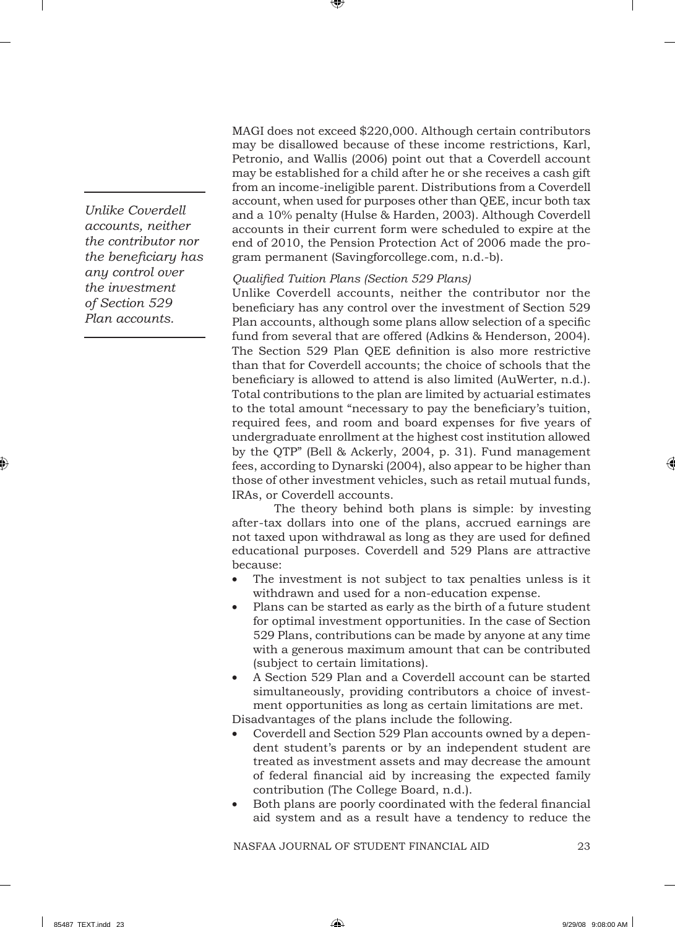*Unlike Coverdell accounts, neither the contributor nor the benefi ciary has any control over the investment of Section 529 Plan accounts.*

MAGI does not exceed \$220,000. Although certain contributors may be disallowed because of these income restrictions, Karl, Petronio, and Wallis (2006) point out that a Coverdell account may be established for a child after he or she receives a cash gift from an income-ineligible parent. Distributions from a Coverdell account, when used for purposes other than QEE, incur both tax and a 10% penalty (Hulse & Harden, 2003). Although Coverdell accounts in their current form were scheduled to expire at the end of 2010, the Pension Protection Act of 2006 made the program permanent (Savingforcollege.com, n.d.-b).

*Qualifi ed Tuition Plans (Section 529 Plans)*

Unlike Coverdell accounts, neither the contributor nor the beneficiary has any control over the investment of Section 529 Plan accounts, although some plans allow selection of a specific fund from several that are offered (Adkins & Henderson, 2004). The Section 529 Plan QEE definition is also more restrictive than that for Coverdell accounts; the choice of schools that the beneficiary is allowed to attend is also limited (AuWerter, n.d.). Total contributions to the plan are limited by actuarial estimates to the total amount "necessary to pay the beneficiary's tuition, required fees, and room and board expenses for five years of undergraduate enrollment at the highest cost institution allowed by the QTP" (Bell & Ackerly, 2004, p. 31). Fund management fees, according to Dynarski (2004), also appear to be higher than those of other investment vehicles, such as retail mutual funds, IRAs, or Coverdell accounts.

The theory behind both plans is simple: by investing after-tax dollars into one of the plans, accrued earnings are not taxed upon withdrawal as long as they are used for defined educational purposes. Coverdell and 529 Plans are attractive because:

- The investment is not subject to tax penalties unless is it withdrawn and used for a non-education expense.
- Plans can be started as early as the birth of a future student for optimal investment opportunities. In the case of Section 529 Plans, contributions can be made by anyone at any time with a generous maximum amount that can be contributed (subject to certain limitations).
- A Section 529 Plan and a Coverdell account can be started simultaneously, providing contributors a choice of investment opportunities as long as certain limitations are met.

Disadvantages of the plans include the following.

- Coverdell and Section 529 Plan accounts owned by a dependent student's parents or by an independent student are treated as investment assets and may decrease the amount of federal financial aid by increasing the expected family contribution (The College Board, n.d.).
- Both plans are poorly coordinated with the federal financial aid system and as a result have a tendency to reduce the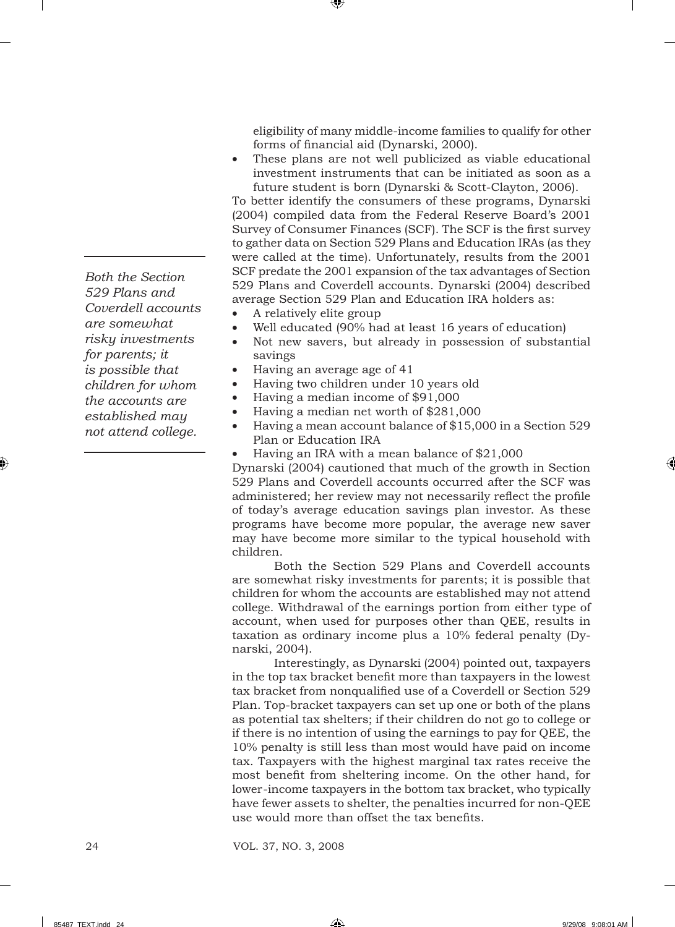*Both the Section 529 Plans and Coverdell accounts are somewhat risky investments for parents; it is possible that children for whom the accounts are established may not attend college.* 

eligibility of many middle-income families to qualify for other forms of financial aid (Dynarski, 2000).

These plans are not well publicized as viable educational investment instruments that can be initiated as soon as a future student is born (Dynarski & Scott-Clayton, 2006).

To better identify the consumers of these programs, Dynarski (2004) compiled data from the Federal Reserve Board's 2001 Survey of Consumer Finances (SCF). The SCF is the first survey to gather data on Section 529 Plans and Education IRAs (as they were called at the time). Unfortunately, results from the 2001 SCF predate the 2001 expansion of the tax advantages of Section 529 Plans and Coverdell accounts. Dynarski (2004) described average Section 529 Plan and Education IRA holders as:

- A relatively elite group
- Well educated (90% had at least 16 years of education)
- Not new savers, but already in possession of substantial savings
- Having an average age of 41
- Having two children under 10 years old
- Having a median income of \$91,000
- Having a median net worth of \$281,000
- Having a mean account balance of \$15,000 in a Section 529 Plan or Education IRA
- Having an IRA with a mean balance of \$21,000

Dynarski (2004) cautioned that much of the growth in Section 529 Plans and Coverdell accounts occurred after the SCF was administered; her review may not necessarily reflect the profile of today's average education savings plan investor. As these programs have become more popular, the average new saver may have become more similar to the typical household with children.

Both the Section 529 Plans and Coverdell accounts are somewhat risky investments for parents; it is possible that children for whom the accounts are established may not attend college. Withdrawal of the earnings portion from either type of account, when used for purposes other than QEE, results in taxation as ordinary income plus a 10% federal penalty (Dynarski, 2004).

Interestingly, as Dynarski (2004) pointed out, taxpayers in the top tax bracket benefit more than taxpayers in the lowest tax bracket from nonqualified use of a Coverdell or Section 529 Plan. Top-bracket taxpayers can set up one or both of the plans as potential tax shelters; if their children do not go to college or if there is no intention of using the earnings to pay for QEE, the 10% penalty is still less than most would have paid on income tax. Taxpayers with the highest marginal tax rates receive the most benefit from sheltering income. On the other hand, for lower-income taxpayers in the bottom tax bracket, who typically have fewer assets to shelter, the penalties incurred for non-QEE use would more than offset the tax benefits.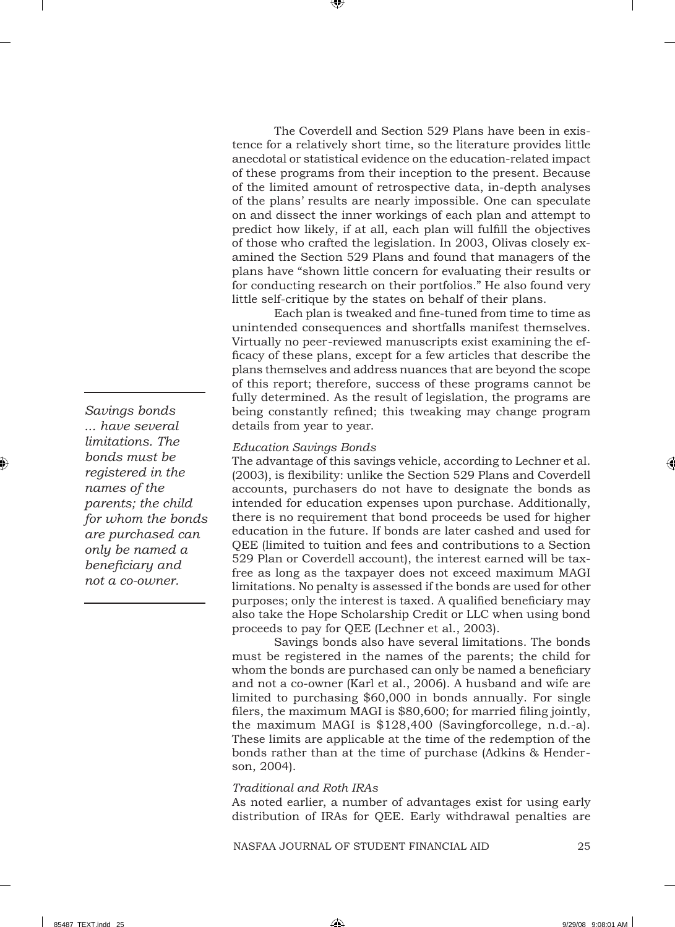The Coverdell and Section 529 Plans have been in existence for a relatively short time, so the literature provides little anecdotal or statistical evidence on the education-related impact of these programs from their inception to the present. Because of the limited amount of retrospective data, in-depth analyses of the plans' results are nearly impossible. One can speculate on and dissect the inner workings of each plan and attempt to predict how likely, if at all, each plan will fulfill the objectives of those who crafted the legislation. In 2003, Olivas closely examined the Section 529 Plans and found that managers of the plans have "shown little concern for evaluating their results or for conducting research on their portfolios." He also found very little self-critique by the states on behalf of their plans.

Each plan is tweaked and fine-tuned from time to time as unintended consequences and shortfalls manifest themselves. Virtually no peer-reviewed manuscripts exist examining the efficacy of these plans, except for a few articles that describe the plans themselves and address nuances that are beyond the scope of this report; therefore, success of these programs cannot be fully determined. As the result of legislation, the programs are being constantly refined; this tweaking may change program details from year to year.

## *Education Savings Bonds*

The advantage of this savings vehicle, according to Lechner et al. (2003), is flexibility: unlike the Section 529 Plans and Coverdell accounts, purchasers do not have to designate the bonds as intended for education expenses upon purchase. Additionally, there is no requirement that bond proceeds be used for higher education in the future. If bonds are later cashed and used for QEE (limited to tuition and fees and contributions to a Section 529 Plan or Coverdell account), the interest earned will be taxfree as long as the taxpayer does not exceed maximum MAGI limitations. No penalty is assessed if the bonds are used for other purposes; only the interest is taxed. A qualified beneficiary may also take the Hope Scholarship Credit or LLC when using bond proceeds to pay for QEE (Lechner et al., 2003).

Savings bonds also have several limitations. The bonds must be registered in the names of the parents; the child for whom the bonds are purchased can only be named a beneficiary and not a co-owner (Karl et al., 2006). A husband and wife are limited to purchasing \$60,000 in bonds annually. For single filers, the maximum MAGI is  $$80,600$ ; for married filing jointly, the maximum MAGI is \$128,400 (Savingforcollege, n.d.-a). These limits are applicable at the time of the redemption of the bonds rather than at the time of purchase (Adkins & Henderson, 2004).

## *Traditional and Roth IRAs*

As noted earlier, a number of advantages exist for using early distribution of IRAs for QEE. Early withdrawal penalties are

*Savings bonds ... have several limitations. The bonds must be registered in the names of the parents; the child for whom the bonds are purchased can only be named a benefi ciary and not a co-owner.*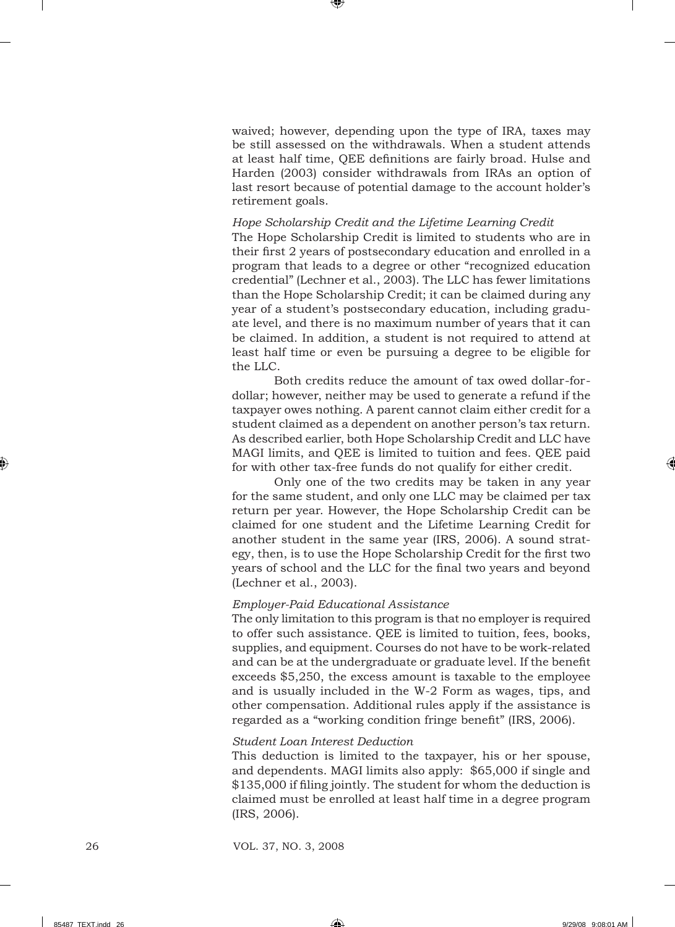waived; however, depending upon the type of IRA, taxes may be still assessed on the withdrawals. When a student attends at least half time, QEE definitions are fairly broad. Hulse and Harden (2003) consider withdrawals from IRAs an option of last resort because of potential damage to the account holder's retirement goals.

#### *Hope Scholarship Credit and the Lifetime Learning Credit*

The Hope Scholarship Credit is limited to students who are in their first 2 years of postsecondary education and enrolled in a program that leads to a degree or other "recognized education credential" (Lechner et al., 2003). The LLC has fewer limitations than the Hope Scholarship Credit; it can be claimed during any year of a student's postsecondary education, including graduate level, and there is no maximum number of years that it can be claimed. In addition, a student is not required to attend at least half time or even be pursuing a degree to be eligible for the LLC.

Both credits reduce the amount of tax owed dollar-fordollar; however, neither may be used to generate a refund if the taxpayer owes nothing. A parent cannot claim either credit for a student claimed as a dependent on another person's tax return. As described earlier, both Hope Scholarship Credit and LLC have MAGI limits, and QEE is limited to tuition and fees. QEE paid for with other tax-free funds do not qualify for either credit.

Only one of the two credits may be taken in any year for the same student, and only one LLC may be claimed per tax return per year. However, the Hope Scholarship Credit can be claimed for one student and the Lifetime Learning Credit for another student in the same year (IRS, 2006). A sound strategy, then, is to use the Hope Scholarship Credit for the first two years of school and the LLC for the final two years and beyond (Lechner et al., 2003).

#### *Employer-Paid Educational Assistance*

The only limitation to this program is that no employer is required to offer such assistance. QEE is limited to tuition, fees, books, supplies, and equipment. Courses do not have to be work-related and can be at the undergraduate or graduate level. If the benefit exceeds \$5,250, the excess amount is taxable to the employee and is usually included in the W-2 Form as wages, tips, and other compensation. Additional rules apply if the assistance is regarded as a "working condition fringe benefit" (IRS, 2006).

#### *Student Loan Interest Deduction*

This deduction is limited to the taxpayer, his or her spouse, and dependents. MAGI limits also apply: \$65,000 if single and \$135,000 if filing jointly. The student for whom the deduction is claimed must be enrolled at least half time in a degree program (IRS, 2006).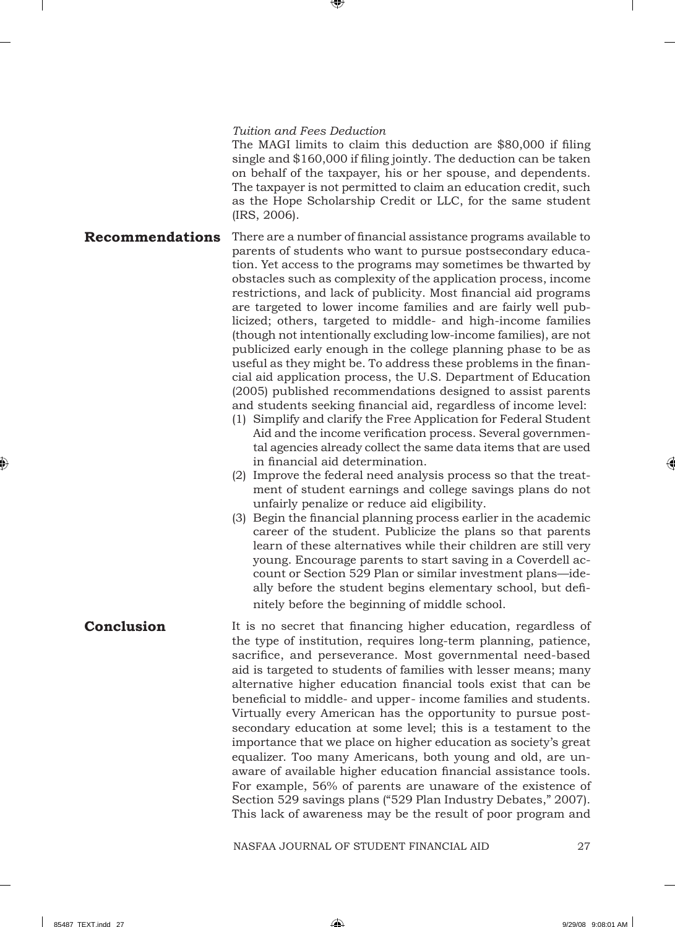#### *Tuition and Fees Deduction*

The MAGI limits to claim this deduction are \$80,000 if filing single and \$160,000 if filing jointly. The deduction can be taken on behalf of the taxpayer, his or her spouse, and dependents. The taxpayer is not permitted to claim an education credit, such as the Hope Scholarship Credit or LLC, for the same student (IRS, 2006).

- There are a number of financial assistance programs available to parents of students who want to pursue postsecondary education. Yet access to the programs may sometimes be thwarted by obstacles such as complexity of the application process, income restrictions, and lack of publicity. Most financial aid programs are targeted to lower income families and are fairly well publicized; others, targeted to middle- and high-income families (though not intentionally excluding low-income families), are not publicized early enough in the college planning phase to be as useful as they might be. To address these problems in the financial aid application process, the U.S. Department of Education (2005) published recommendations designed to assist parents and students seeking financial aid, regardless of income level: **Recommendations**
	- (1) Simplify and clarify the Free Application for Federal Student Aid and the income verification process. Several governmental agencies already collect the same data items that are used in financial aid determination.
	- (2) Improve the federal need analysis process so that the treatment of student earnings and college savings plans do not unfairly penalize or reduce aid eligibility.
	- (3) Begin the financial planning process earlier in the academic career of the student. Publicize the plans so that parents learn of these alternatives while their children are still very young. Encourage parents to start saving in a Coverdell account or Section 529 Plan or similar investment plans—ideally before the student begins elementary school, but definitely before the beginning of middle school.
- It is no secret that financing higher education, regardless of the type of institution, requires long-term planning, patience, sacrifice, and perseverance. Most governmental need-based aid is targeted to students of families with lesser means; many alternative higher education financial tools exist that can be beneficial to middle- and upper- income families and students. Virtually every American has the opportunity to pursue postsecondary education at some level; this is a testament to the importance that we place on higher education as society's great equalizer. Too many Americans, both young and old, are unaware of available higher education financial assistance tools. For example, 56% of parents are unaware of the existence of Section 529 savings plans ("529 Plan Industry Debates," 2007). This lack of awareness may be the result of poor program and **Conclusion**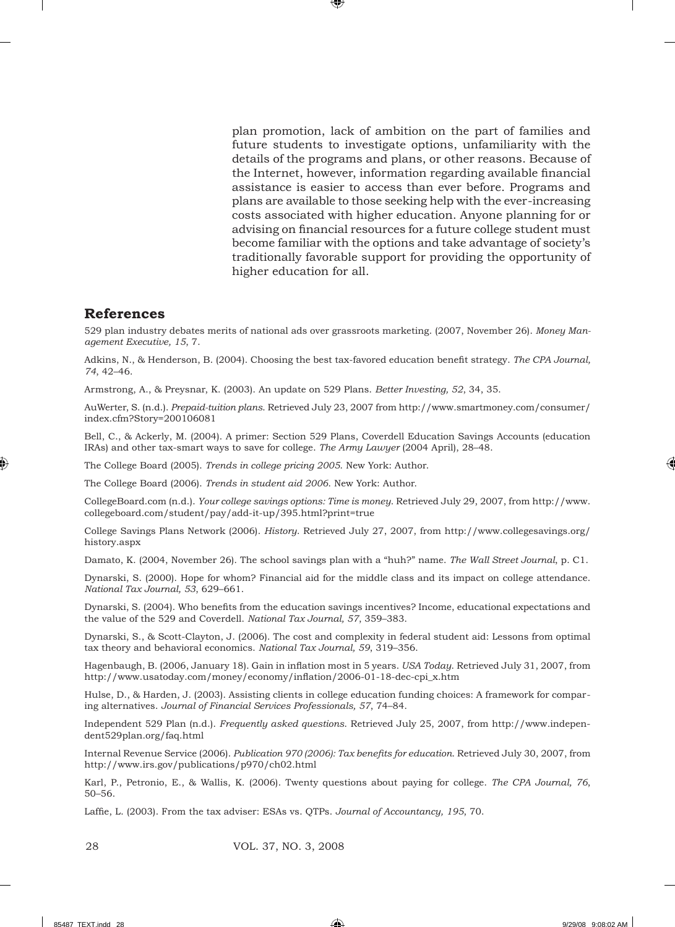plan promotion, lack of ambition on the part of families and future students to investigate options, unfamiliarity with the details of the programs and plans, or other reasons. Because of the Internet, however, information regarding available financial assistance is easier to access than ever before. Programs and plans are available to those seeking help with the ever-increasing costs associated with higher education. Anyone planning for or advising on financial resources for a future college student must become familiar with the options and take advantage of society's traditionally favorable support for providing the opportunity of higher education for all.

## **References**

529 plan industry debates merits of national ads over grassroots marketing. (2007, November 26). *Money Management Executive, 15*, 7.

Adkins, N., & Henderson, B. (2004). Choosing the best tax-favored education benefi t strategy. *The CPA Journal, 74*, 42–46.

Armstrong, A., & Preysnar, K. (2003). An update on 529 Plans. *Better Investing, 52*, 34, 35.

AuWerter, S. (n.d.). *Prepaid-tuition plans*. Retrieved July 23, 2007 from http://www.smartmoney.com/consumer/ index.cfm?Story=200106081

Bell, C., & Ackerly, M. (2004). A primer: Section 529 Plans, Coverdell Education Savings Accounts (education IRAs) and other tax-smart ways to save for college. *The Army Lawyer* (2004 April), 28–48.

The College Board (2005). *Trends in college pricing 2005*. New York: Author.

The College Board (2006). *Trends in student aid 2006*. New York: Author.

CollegeBoard.com (n.d.). *Your college savings options: Time is money*. Retrieved July 29, 2007, from http://www. collegeboard.com/student/pay/add-it-up/395.html?print=true

College Savings Plans Network (2006). *History*. Retrieved July 27, 2007, from http://www.collegesavings.org/ history.aspx

Damato, K. (2004, November 26). The school savings plan with a "huh?" name. *The Wall Street Journal*, p. C1.

Dynarski, S. (2000). Hope for whom? Financial aid for the middle class and its impact on college attendance. *National Tax Journal, 53*, 629–661.

Dynarski, S. (2004). Who benefits from the education savings incentives? Income, educational expectations and the value of the 529 and Coverdell. *National Tax Journal, 57*, 359–383.

Dynarski, S., & Scott-Clayton, J. (2006). The cost and complexity in federal student aid: Lessons from optimal tax theory and behavioral economics. *National Tax Journal, 59*, 319–356.

Hagenbaugh, B. (2006, January 18). Gain in inflation most in 5 years. *USA Today*. Retrieved July 31, 2007, from http://www.usatoday.com/money/economy/inflation/2006-01-18-dec-cpi\_x.htm

Hulse, D., & Harden, J. (2003). Assisting clients in college education funding choices: A framework for comparing alternatives. *Journal of Financial Services Professionals, 57*, 74–84.

Independent 529 Plan (n.d.). *Frequently asked questions*. Retrieved July 25, 2007, from http://www.independent529plan.org/faq.html

Internal Revenue Service (2006). *Publication 970 (2006): Tax benefi ts for education*. Retrieved July 30, 2007, from http://www.irs.gov/publications/p970/ch02.html

Karl, P., Petronio, E., & Wallis, K. (2006). Twenty questions about paying for college. *The CPA Journal, 76*, 50–56.

Laffie, L. (2003). From the tax adviser: ESAs vs. OTPs. *Journal of Accountancy*, 195, 70.